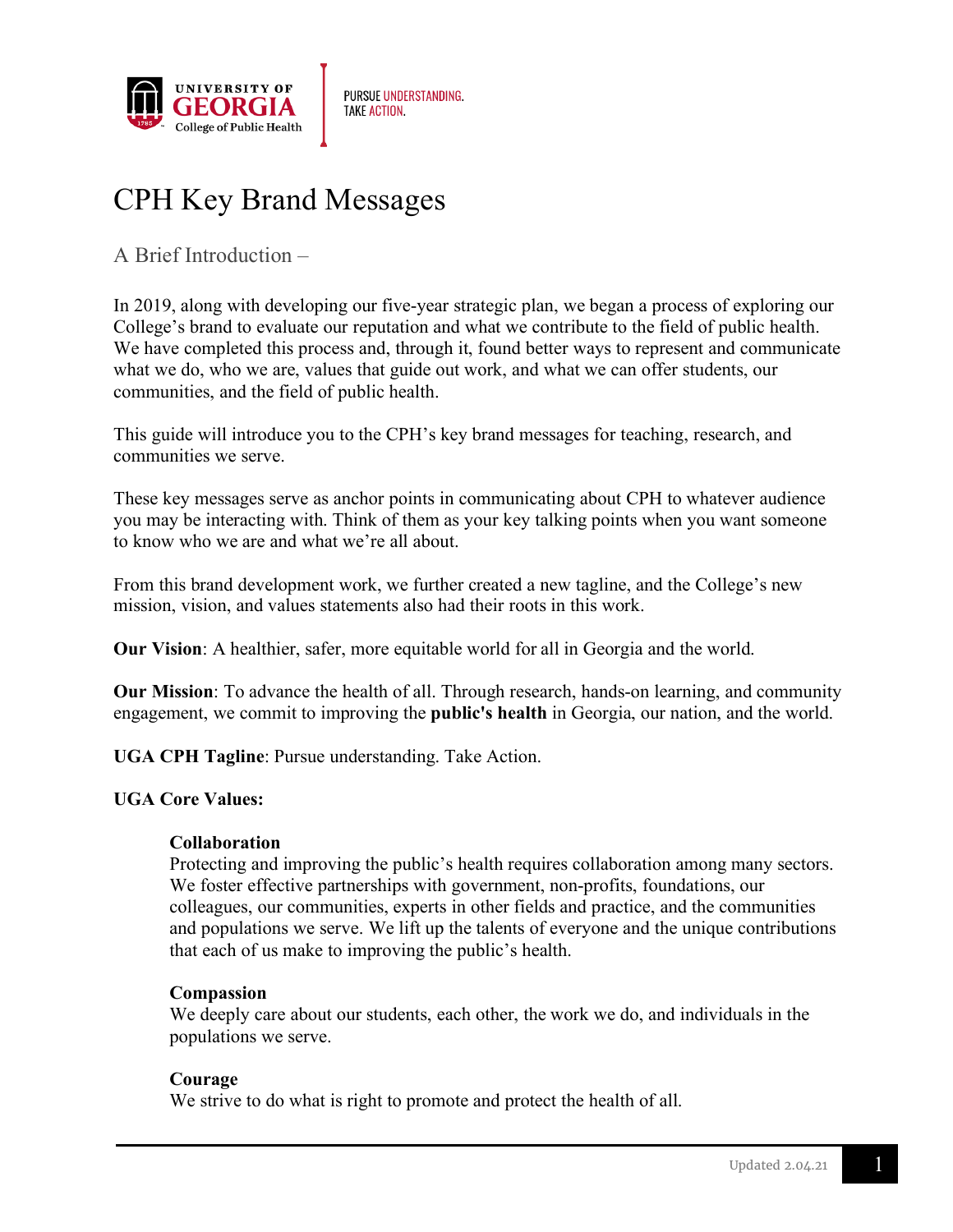

# CPH Key Brand Messages

A Brief Introduction –

In 2019, along with developing our five-year strategic plan, we began a process of exploring our College's brand to evaluate our reputation and what we contribute to the field of public health. We have completed this process and, through it, found better ways to represent and communicate what we do, who we are, values that guide out work, and what we can offer students, our communities, and the field of public health.

This guide will introduce you to the CPH's key brand messages for teaching, research, and communities we serve.

These key messages serve as anchor points in communicating about CPH to whatever audience you may be interacting with. Think of them as your key talking points when you want someone to know who we are and what we're all about.

From this brand development work, we further created a new tagline, and the College's new mission, vision, and values statements also had their roots in this work.

**Our Vision**: A healthier, safer, more equitable world for all in Georgia and the world.

**Our Mission**: To advance the health of all. Through research, hands-on learning, and community engagement, we commit to improving the **public's health** in Georgia, our nation, and the world.

**UGA CPH Tagline**: Pursue understanding. Take Action.

## **UGA Core Values:**

## **Collaboration**

Protecting and improving the public's health requires collaboration among many sectors. We foster effective partnerships with government, non-profits, foundations, our colleagues, our communities, experts in other fields and practice, and the communities and populations we serve. We lift up the talents of everyone and the unique contributions that each of us make to improving the public's health.

## **Compassion**

We deeply care about our students, each other, the work we do, and individuals in the populations we serve.

## **Courage**

We strive to do what is right to promote and protect the health of all.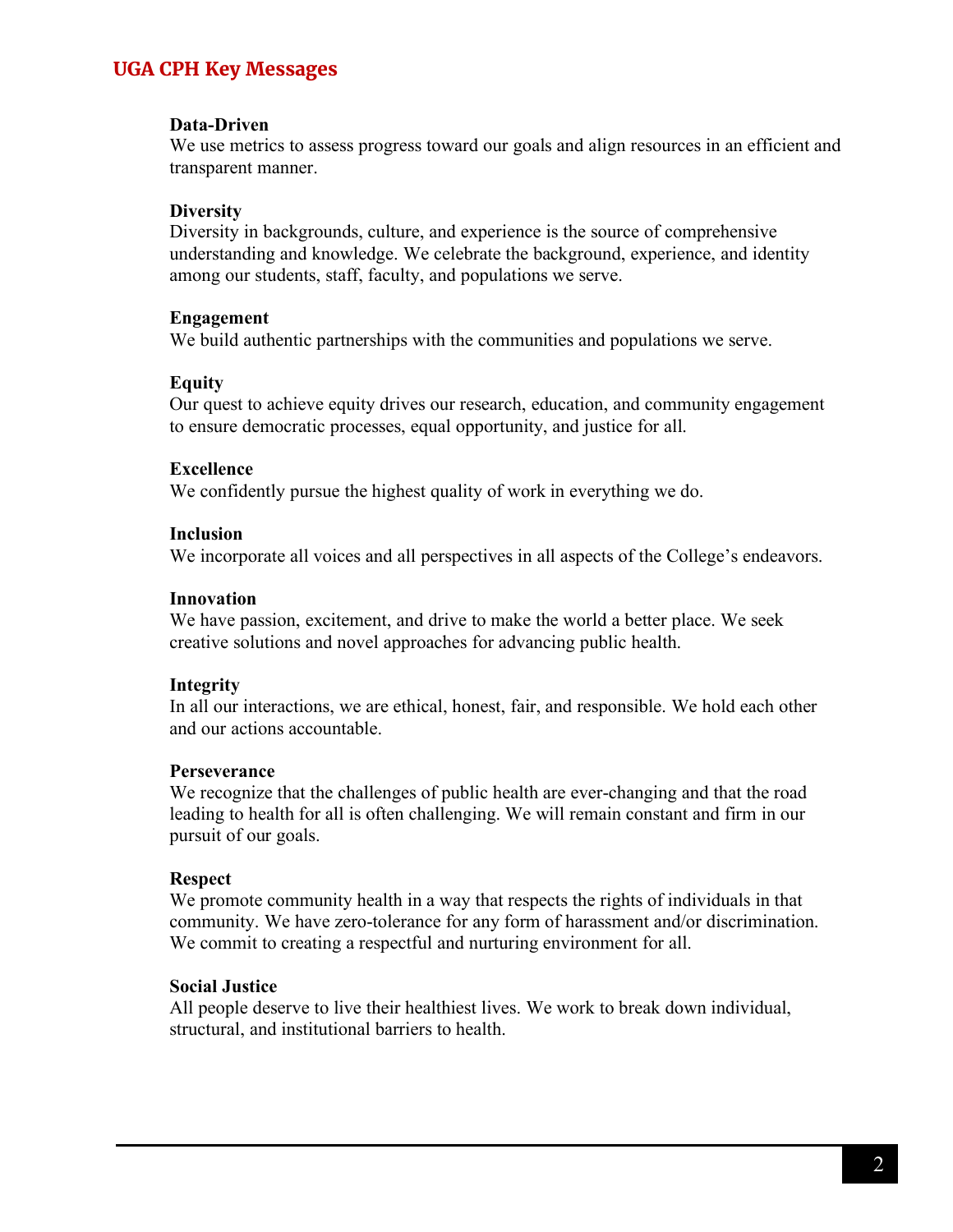## **UGA CPH Key Messages**

#### **Data-Driven**

We use metrics to assess progress toward our goals and align resources in an efficient and transparent manner.

#### **Diversity**

Diversity in backgrounds, culture, and experience is the source of comprehensive understanding and knowledge. We celebrate the background, experience, and identity among our students, staff, faculty, and populations we serve.

#### **Engagement**

We build authentic partnerships with the communities and populations we serve.

#### **Equity**

Our quest to achieve equity drives our research, education, and community engagement to ensure democratic processes, equal opportunity, and justice for all.

#### **Excellence**

We confidently pursue the highest quality of work in everything we do.

#### **Inclusion**

We incorporate all voices and all perspectives in all aspects of the College's endeavors.

#### **Innovation**

We have passion, excitement, and drive to make the world a better place. We seek creative solutions and novel approaches for advancing public health.

#### **Integrity**

In all our interactions, we are ethical, honest, fair, and responsible. We hold each other and our actions accountable.

#### **Perseverance**

We recognize that the challenges of public health are ever-changing and that the road leading to health for all is often challenging. We will remain constant and firm in our pursuit of our goals.

#### **Respect**

We promote community health in a way that respects the rights of individuals in that community. We have zero-tolerance for any form of harassment and/or discrimination. We commit to creating a respectful and nurturing environment for all.

#### **Social Justice**

All people deserve to live their healthiest lives. We work to break down individual, structural, and institutional barriers to health.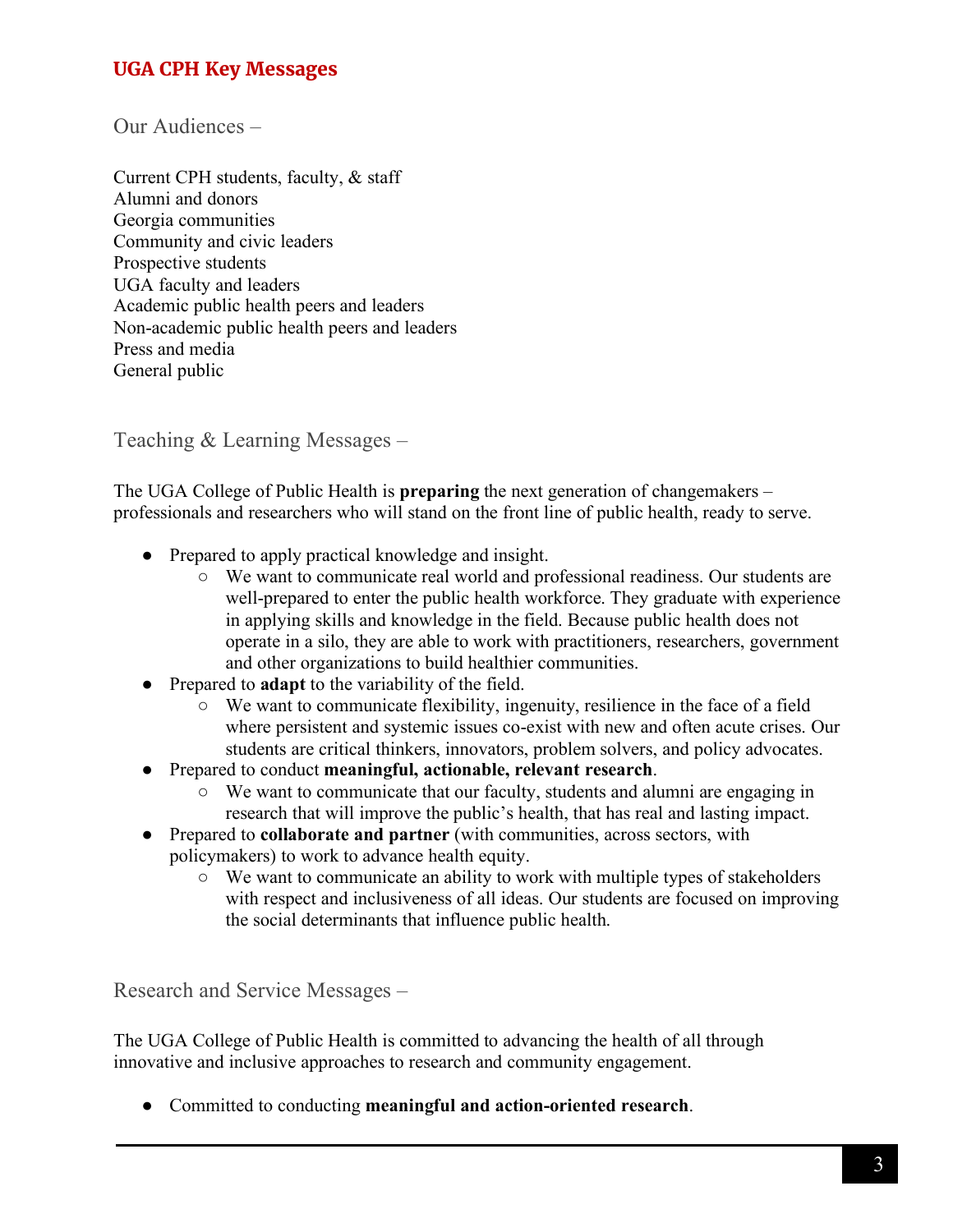# **UGA CPH Key Messages**

Our Audiences –

Current CPH students, faculty, & staff Alumni and donors Georgia communities Community and civic leaders Prospective students UGA faculty and leaders Academic public health peers and leaders Non-academic public health peers and leaders Press and media General public

Teaching & Learning Messages –

The UGA College of Public Health is **preparing** the next generation of changemakers – professionals and researchers who will stand on the front line of public health, ready to serve.

- Prepared to apply practical knowledge and insight.
	- We want to communicate real world and professional readiness. Our students are well-prepared to enter the public health workforce. They graduate with experience in applying skills and knowledge in the field. Because public health does not operate in a silo, they are able to work with practitioners, researchers, government and other organizations to build healthier communities.
- Prepared to **adapt** to the variability of the field.
	- We want to communicate flexibility, ingenuity, resilience in the face of a field where persistent and systemic issues co-exist with new and often acute crises. Our students are critical thinkers, innovators, problem solvers, and policy advocates.
- Prepared to conduct **meaningful, actionable, relevant research**.
	- We want to communicate that our faculty, students and alumni are engaging in research that will improve the public's health, that has real and lasting impact.
- Prepared to **collaborate and partner** (with communities, across sectors, with policymakers) to work to advance health equity.
	- We want to communicate an ability to work with multiple types of stakeholders with respect and inclusiveness of all ideas. Our students are focused on improving the social determinants that influence public health.

Research and Service Messages –

The UGA College of Public Health is committed to advancing the health of all through innovative and inclusive approaches to research and community engagement.

● Committed to conducting **meaningful and action-oriented research**.